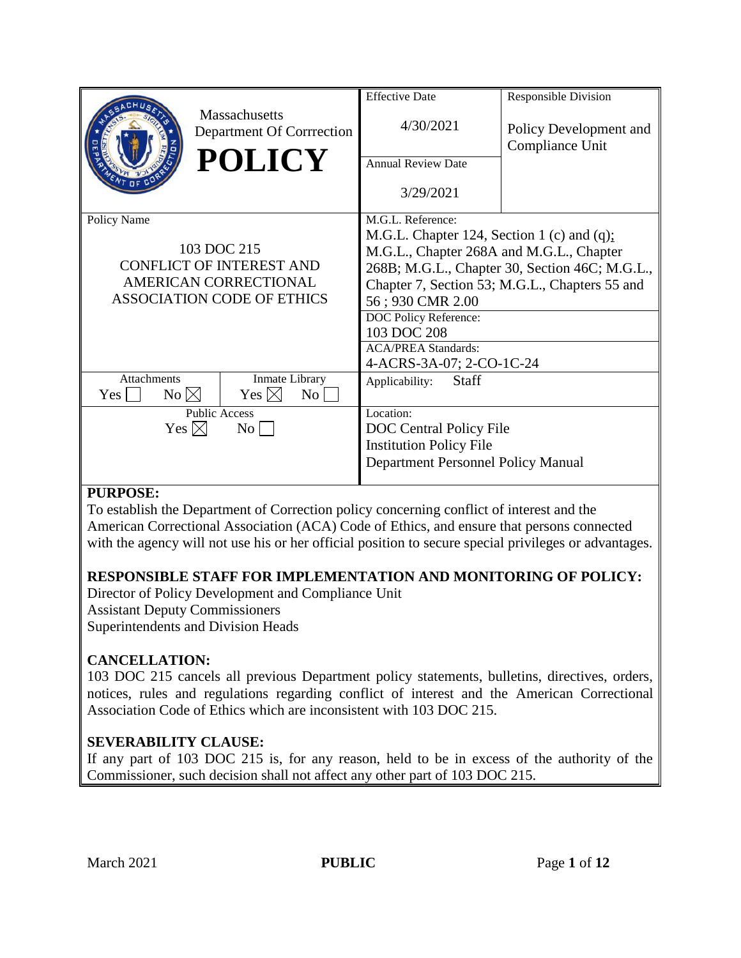|                                                                                                                             |                                                                    | <b>Effective Date</b>                                                                                                                                                                                                                                                                                                                 | <b>Responsible Division</b>               |
|-----------------------------------------------------------------------------------------------------------------------------|--------------------------------------------------------------------|---------------------------------------------------------------------------------------------------------------------------------------------------------------------------------------------------------------------------------------------------------------------------------------------------------------------------------------|-------------------------------------------|
|                                                                                                                             | <b>Massachusetts</b><br>Department Of Corrrection<br><b>POLICY</b> | 4/30/2021<br><b>Annual Review Date</b><br>3/29/2021                                                                                                                                                                                                                                                                                   | Policy Development and<br>Compliance Unit |
|                                                                                                                             |                                                                    |                                                                                                                                                                                                                                                                                                                                       |                                           |
| Policy Name<br>103 DOC 215<br><b>CONFLICT OF INTEREST AND</b><br>AMERICAN CORRECTIONAL<br><b>ASSOCIATION CODE OF ETHICS</b> |                                                                    | M.G.L. Reference:<br>M.G.L. Chapter 124, Section 1 (c) and (q);<br>M.G.L., Chapter 268A and M.G.L., Chapter<br>268B; M.G.L., Chapter 30, Section 46C; M.G.L.,<br>Chapter 7, Section 53; M.G.L., Chapters 55 and<br>56; 930 CMR 2.00<br>DOC Policy Reference:<br>103 DOC 208<br><b>ACA/PREA Standards:</b><br>4-ACRS-3A-07; 2-CO-1C-24 |                                           |
| <b>Attachments</b><br>$No \bowtie$<br>Yes                                                                                   | Inmate Library<br>Yes $\boxtimes$<br>No                            | Staff<br>Applicability:                                                                                                                                                                                                                                                                                                               |                                           |
| <b>Public Access</b><br>Yes $\boxtimes$                                                                                     | $\rm{No}$                                                          | Location:<br><b>DOC Central Policy File</b><br><b>Institution Policy File</b><br><b>Department Personnel Policy Manual</b>                                                                                                                                                                                                            |                                           |

## **PURPOSE:**

To establish the Department of Correction policy concerning conflict of interest and the American Correctional Association (ACA) Code of Ethics, and ensure that persons connected with the agency will not use his or her official position to secure special privileges or advantages.

## **RESPONSIBLE STAFF FOR IMPLEMENTATION AND MONITORING OF POLICY:**

Director of Policy Development and Compliance Unit Assistant Deputy Commissioners

Superintendents and Division Heads

## **CANCELLATION:**

103 DOC 215 cancels all previous Department policy statements, bulletins, directives, orders, notices, rules and regulations regarding conflict of interest and the American Correctional Association Code of Ethics which are inconsistent with 103 DOC 215.

# **SEVERABILITY CLAUSE:**

If any part of 103 DOC 215 is, for any reason, held to be in excess of the authority of the Commissioner, such decision shall not affect any other part of 103 DOC 215.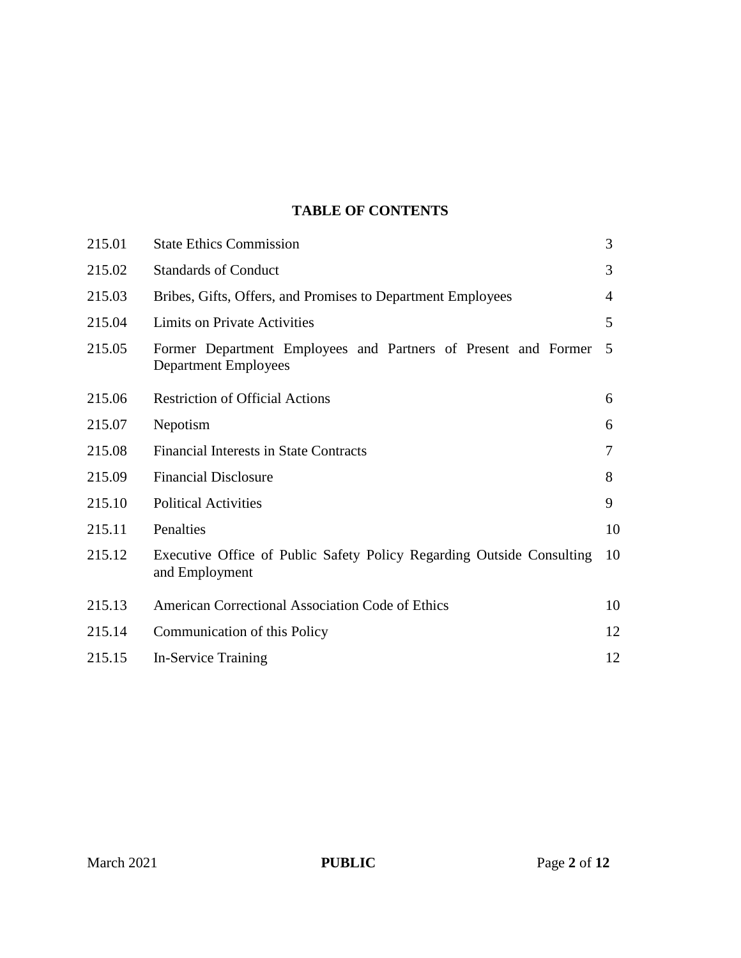# **TABLE OF CONTENTS**

| 215.01 | <b>State Ethics Commission</b>                                                                | 3  |
|--------|-----------------------------------------------------------------------------------------------|----|
| 215.02 | <b>Standards of Conduct</b>                                                                   | 3  |
| 215.03 | Bribes, Gifts, Offers, and Promises to Department Employees                                   | 4  |
| 215.04 | Limits on Private Activities                                                                  | 5  |
| 215.05 | Former Department Employees and Partners of Present and Former<br><b>Department Employees</b> | 5  |
| 215.06 | <b>Restriction of Official Actions</b>                                                        | 6  |
| 215.07 | Nepotism                                                                                      | 6  |
| 215.08 | <b>Financial Interests in State Contracts</b>                                                 | 7  |
| 215.09 | <b>Financial Disclosure</b>                                                                   | 8  |
| 215.10 | <b>Political Activities</b>                                                                   | 9  |
| 215.11 | Penalties                                                                                     | 10 |
| 215.12 | Executive Office of Public Safety Policy Regarding Outside Consulting<br>and Employment       |    |
| 215.13 | American Correctional Association Code of Ethics                                              | 10 |
| 215.14 | Communication of this Policy                                                                  | 12 |
| 215.15 | In-Service Training                                                                           | 12 |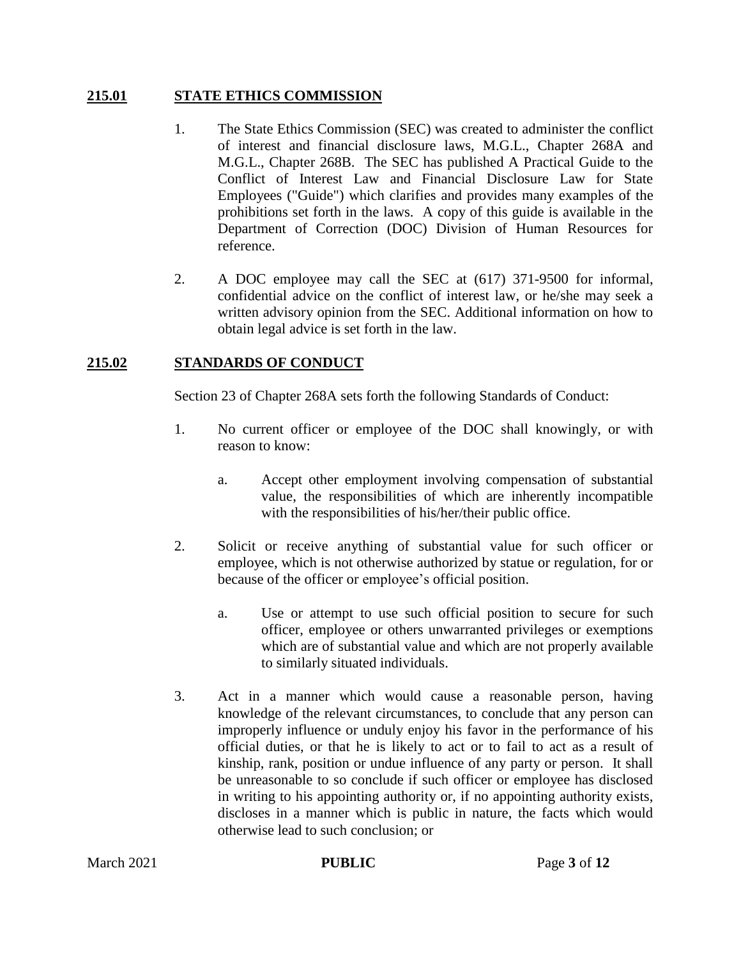### **215.01 STATE ETHICS COMMISSION**

- 1. The State Ethics Commission (SEC) was created to administer the conflict of interest and financial disclosure laws, M.G.L., Chapter 268A and M.G.L., Chapter 268B. The SEC has published A Practical Guide to the Conflict of Interest Law and Financial Disclosure Law for State Employees ("Guide") which clarifies and provides many examples of the prohibitions set forth in the laws. A copy of this guide is available in the Department of Correction (DOC) Division of Human Resources for reference.
- 2. A DOC employee may call the SEC at (617) 371-9500 for informal, confidential advice on the conflict of interest law, or he/she may seek a written advisory opinion from the SEC. Additional information on how to obtain legal advice is set forth in the law.

## **215.02 STANDARDS OF CONDUCT**

Section 23 of Chapter 268A sets forth the following Standards of Conduct:

- 1. No current officer or employee of the DOC shall knowingly, or with reason to know:
	- a. Accept other employment involving compensation of substantial value, the responsibilities of which are inherently incompatible with the responsibilities of his/her/their public office.
- 2. Solicit or receive anything of substantial value for such officer or employee, which is not otherwise authorized by statue or regulation, for or because of the officer or employee's official position.
	- a. Use or attempt to use such official position to secure for such officer, employee or others unwarranted privileges or exemptions which are of substantial value and which are not properly available to similarly situated individuals.
- 3. Act in a manner which would cause a reasonable person, having knowledge of the relevant circumstances, to conclude that any person can improperly influence or unduly enjoy his favor in the performance of his official duties, or that he is likely to act or to fail to act as a result of kinship, rank, position or undue influence of any party or person. It shall be unreasonable to so conclude if such officer or employee has disclosed in writing to his appointing authority or, if no appointing authority exists, discloses in a manner which is public in nature, the facts which would otherwise lead to such conclusion; or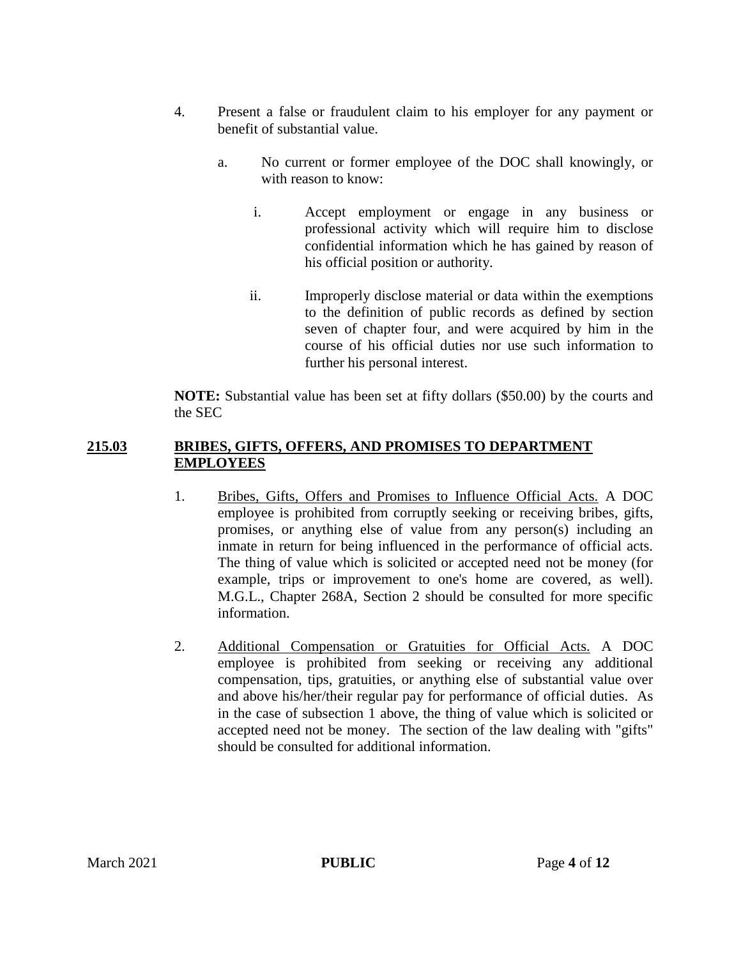- 4. Present a false or fraudulent claim to his employer for any payment or benefit of substantial value.
	- a. No current or former employee of the DOC shall knowingly, or with reason to know:
		- i. Accept employment or engage in any business or professional activity which will require him to disclose confidential information which he has gained by reason of his official position or authority.
		- ii. Improperly disclose material or data within the exemptions to the definition of public records as defined by section seven of chapter four, and were acquired by him in the course of his official duties nor use such information to further his personal interest.

**NOTE:** Substantial value has been set at fifty dollars (\$50.00) by the courts and the SEC

## **215.03 BRIBES, GIFTS, OFFERS, AND PROMISES TO DEPARTMENT EMPLOYEES**

- 1. Bribes, Gifts, Offers and Promises to Influence Official Acts. A DOC employee is prohibited from corruptly seeking or receiving bribes, gifts, promises, or anything else of value from any person(s) including an inmate in return for being influenced in the performance of official acts. The thing of value which is solicited or accepted need not be money (for example, trips or improvement to one's home are covered, as well). M.G.L., Chapter 268A, Section 2 should be consulted for more specific information.
- 2. Additional Compensation or Gratuities for Official Acts. A DOC employee is prohibited from seeking or receiving any additional compensation, tips, gratuities, or anything else of substantial value over and above his/her/their regular pay for performance of official duties. As in the case of subsection 1 above, the thing of value which is solicited or accepted need not be money. The section of the law dealing with "gifts" should be consulted for additional information.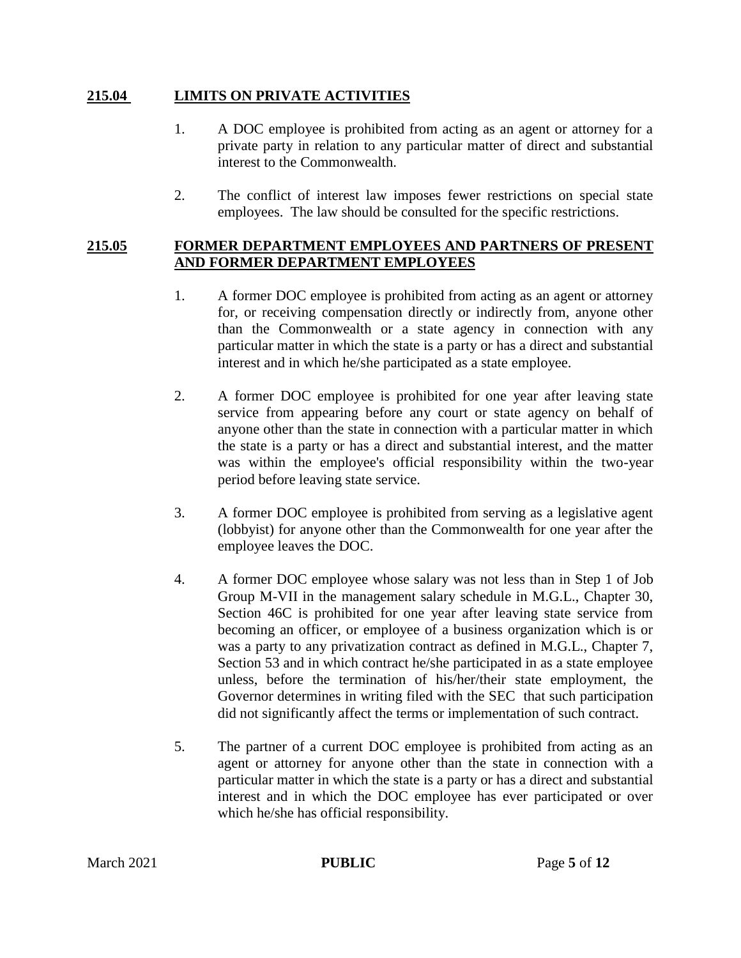### **215.04 LIMITS ON PRIVATE ACTIVITIES**

- 1. A DOC employee is prohibited from acting as an agent or attorney for a private party in relation to any particular matter of direct and substantial interest to the Commonwealth.
- 2. The conflict of interest law imposes fewer restrictions on special state employees. The law should be consulted for the specific restrictions.

### **215.05 FORMER DEPARTMENT EMPLOYEES AND PARTNERS OF PRESENT AND FORMER DEPARTMENT EMPLOYEES**

- 1. A former DOC employee is prohibited from acting as an agent or attorney for, or receiving compensation directly or indirectly from, anyone other than the Commonwealth or a state agency in connection with any particular matter in which the state is a party or has a direct and substantial interest and in which he/she participated as a state employee.
- 2. A former DOC employee is prohibited for one year after leaving state service from appearing before any court or state agency on behalf of anyone other than the state in connection with a particular matter in which the state is a party or has a direct and substantial interest, and the matter was within the employee's official responsibility within the two-year period before leaving state service.
- 3. A former DOC employee is prohibited from serving as a legislative agent (lobbyist) for anyone other than the Commonwealth for one year after the employee leaves the DOC.
- 4. A former DOC employee whose salary was not less than in Step 1 of Job Group M-VII in the management salary schedule in M.G.L., Chapter 30, Section 46C is prohibited for one year after leaving state service from becoming an officer, or employee of a business organization which is or was a party to any privatization contract as defined in M.G.L., Chapter 7, Section 53 and in which contract he/she participated in as a state employee unless, before the termination of his/her/their state employment, the Governor determines in writing filed with the SEC that such participation did not significantly affect the terms or implementation of such contract.
- 5. The partner of a current DOC employee is prohibited from acting as an agent or attorney for anyone other than the state in connection with a particular matter in which the state is a party or has a direct and substantial interest and in which the DOC employee has ever participated or over which he/she has official responsibility.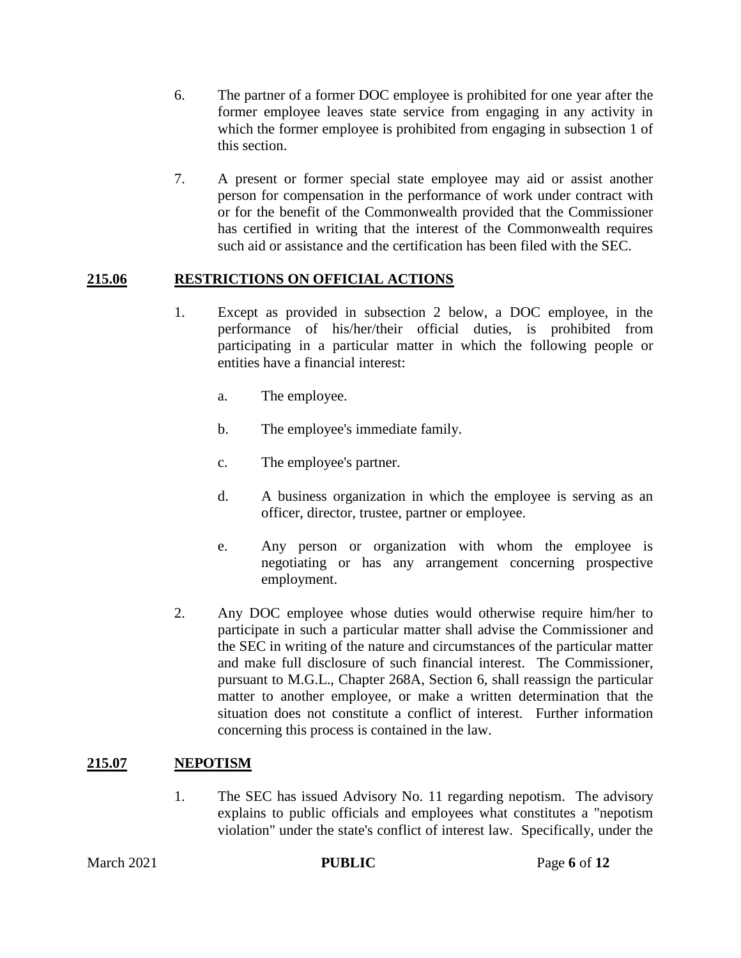- 6. The partner of a former DOC employee is prohibited for one year after the former employee leaves state service from engaging in any activity in which the former employee is prohibited from engaging in subsection 1 of this section.
- 7. A present or former special state employee may aid or assist another person for compensation in the performance of work under contract with or for the benefit of the Commonwealth provided that the Commissioner has certified in writing that the interest of the Commonwealth requires such aid or assistance and the certification has been filed with the SEC.

## **215.06 RESTRICTIONS ON OFFICIAL ACTIONS**

- 1. Except as provided in subsection 2 below, a DOC employee, in the performance of his/her/their official duties, is prohibited from participating in a particular matter in which the following people or entities have a financial interest:
	- a. The employee.
	- b. The employee's immediate family.
	- c. The employee's partner.
	- d. A business organization in which the employee is serving as an officer, director, trustee, partner or employee.
	- e. Any person or organization with whom the employee is negotiating or has any arrangement concerning prospective employment.
- 2. Any DOC employee whose duties would otherwise require him/her to participate in such a particular matter shall advise the Commissioner and the SEC in writing of the nature and circumstances of the particular matter and make full disclosure of such financial interest. The Commissioner, pursuant to M.G.L., Chapter 268A, Section 6, shall reassign the particular matter to another employee, or make a written determination that the situation does not constitute a conflict of interest. Further information concerning this process is contained in the law.

## **215.07 NEPOTISM**

1. The SEC has issued Advisory No. 11 regarding nepotism. The advisory explains to public officials and employees what constitutes a "nepotism violation" under the state's conflict of interest law. Specifically, under the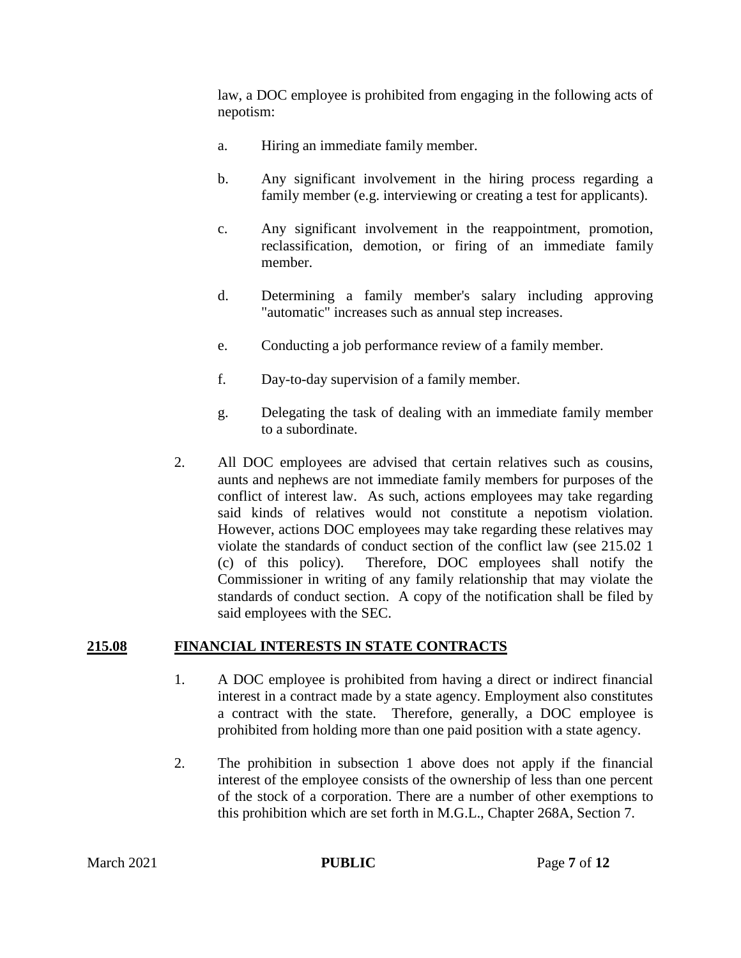law, a DOC employee is prohibited from engaging in the following acts of nepotism:

- a. Hiring an immediate family member.
- b. Any significant involvement in the hiring process regarding a family member (e.g. interviewing or creating a test for applicants).
- c. Any significant involvement in the reappointment, promotion, reclassification, demotion, or firing of an immediate family member.
- d. Determining a family member's salary including approving "automatic" increases such as annual step increases.
- e. Conducting a job performance review of a family member.
- f. Day-to-day supervision of a family member.
- g. Delegating the task of dealing with an immediate family member to a subordinate.
- 2. All DOC employees are advised that certain relatives such as cousins, aunts and nephews are not immediate family members for purposes of the conflict of interest law. As such, actions employees may take regarding said kinds of relatives would not constitute a nepotism violation. However, actions DOC employees may take regarding these relatives may violate the standards of conduct section of the conflict law (see 215.02 1 (c) of this policy). Therefore, DOC employees shall notify the Commissioner in writing of any family relationship that may violate the standards of conduct section. A copy of the notification shall be filed by said employees with the SEC.

## **215.08 FINANCIAL INTERESTS IN STATE CONTRACTS**

- 1. A DOC employee is prohibited from having a direct or indirect financial interest in a contract made by a state agency. Employment also constitutes a contract with the state. Therefore, generally, a DOC employee is prohibited from holding more than one paid position with a state agency.
- 2. The prohibition in subsection 1 above does not apply if the financial interest of the employee consists of the ownership of less than one percent of the stock of a corporation. There are a number of other exemptions to this prohibition which are set forth in M.G.L., Chapter 268A, Section 7.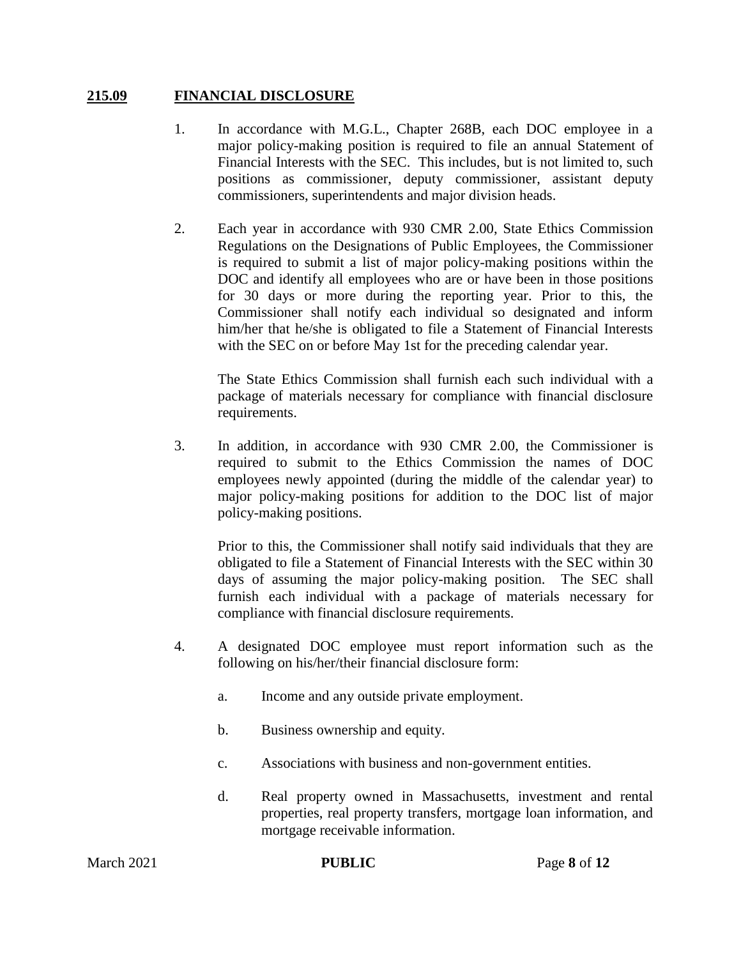### **215.09 FINANCIAL DISCLOSURE**

- 1. In accordance with M.G.L., Chapter 268B, each DOC employee in a major policy-making position is required to file an annual Statement of Financial Interests with the SEC. This includes, but is not limited to, such positions as commissioner, deputy commissioner, assistant deputy commissioners, superintendents and major division heads.
- 2. Each year in accordance with 930 CMR 2.00, State Ethics Commission Regulations on the Designations of Public Employees, the Commissioner is required to submit a list of major policy-making positions within the DOC and identify all employees who are or have been in those positions for 30 days or more during the reporting year. Prior to this, the Commissioner shall notify each individual so designated and inform him/her that he/she is obligated to file a Statement of Financial Interests with the SEC on or before May 1st for the preceding calendar year.

The State Ethics Commission shall furnish each such individual with a package of materials necessary for compliance with financial disclosure requirements.

3. In addition, in accordance with 930 CMR 2.00, the Commissioner is required to submit to the Ethics Commission the names of DOC employees newly appointed (during the middle of the calendar year) to major policy-making positions for addition to the DOC list of major policy-making positions.

Prior to this, the Commissioner shall notify said individuals that they are obligated to file a Statement of Financial Interests with the SEC within 30 days of assuming the major policy-making position. The SEC shall furnish each individual with a package of materials necessary for compliance with financial disclosure requirements.

- 4. A designated DOC employee must report information such as the following on his/her/their financial disclosure form:
	- a. Income and any outside private employment.
	- b. Business ownership and equity.
	- c. Associations with business and non-government entities.
	- d. Real property owned in Massachusetts, investment and rental properties, real property transfers, mortgage loan information, and mortgage receivable information.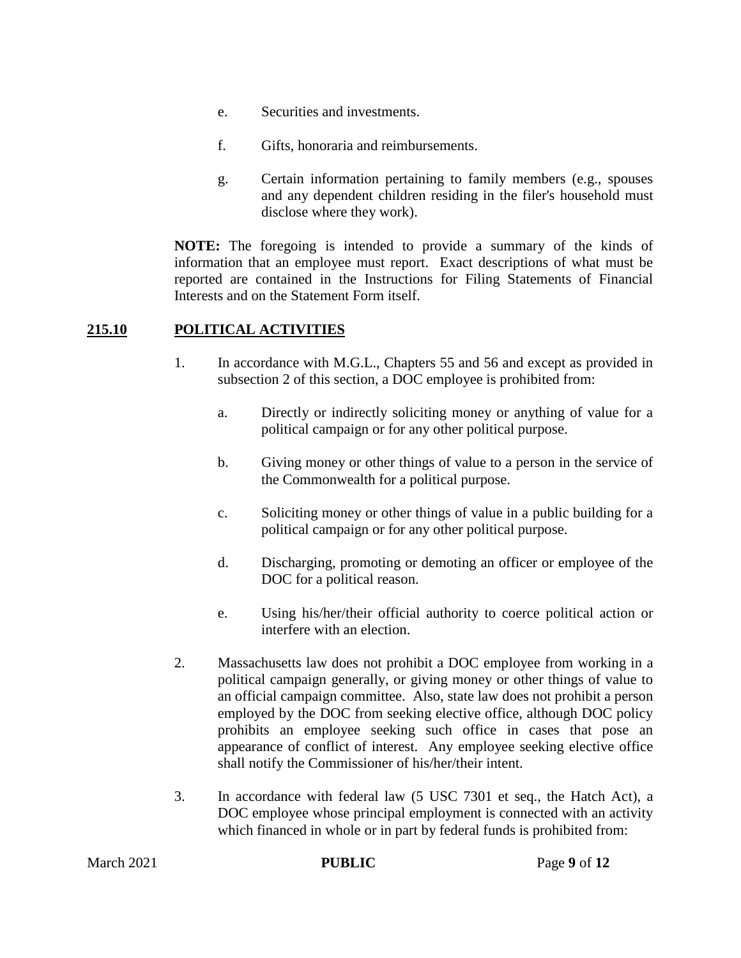- e. Securities and investments.
- f. Gifts, honoraria and reimbursements.
- g. Certain information pertaining to family members (e.g., spouses and any dependent children residing in the filer's household must disclose where they work).

**NOTE:** The foregoing is intended to provide a summary of the kinds of information that an employee must report. Exact descriptions of what must be reported are contained in the Instructions for Filing Statements of Financial Interests and on the Statement Form itself.

## **215.10 POLITICAL ACTIVITIES**

- 1. In accordance with M.G.L., Chapters 55 and 56 and except as provided in subsection 2 of this section, a DOC employee is prohibited from:
	- a. Directly or indirectly soliciting money or anything of value for a political campaign or for any other political purpose.
	- b. Giving money or other things of value to a person in the service of the Commonwealth for a political purpose.
	- c. Soliciting money or other things of value in a public building for a political campaign or for any other political purpose.
	- d. Discharging, promoting or demoting an officer or employee of the DOC for a political reason.
	- e. Using his/her/their official authority to coerce political action or interfere with an election.
- 2. Massachusetts law does not prohibit a DOC employee from working in a political campaign generally, or giving money or other things of value to an official campaign committee. Also, state law does not prohibit a person employed by the DOC from seeking elective office, although DOC policy prohibits an employee seeking such office in cases that pose an appearance of conflict of interest. Any employee seeking elective office shall notify the Commissioner of his/her/their intent.
- 3. In accordance with federal law (5 USC 7301 et seq., the Hatch Act), a DOC employee whose principal employment is connected with an activity which financed in whole or in part by federal funds is prohibited from: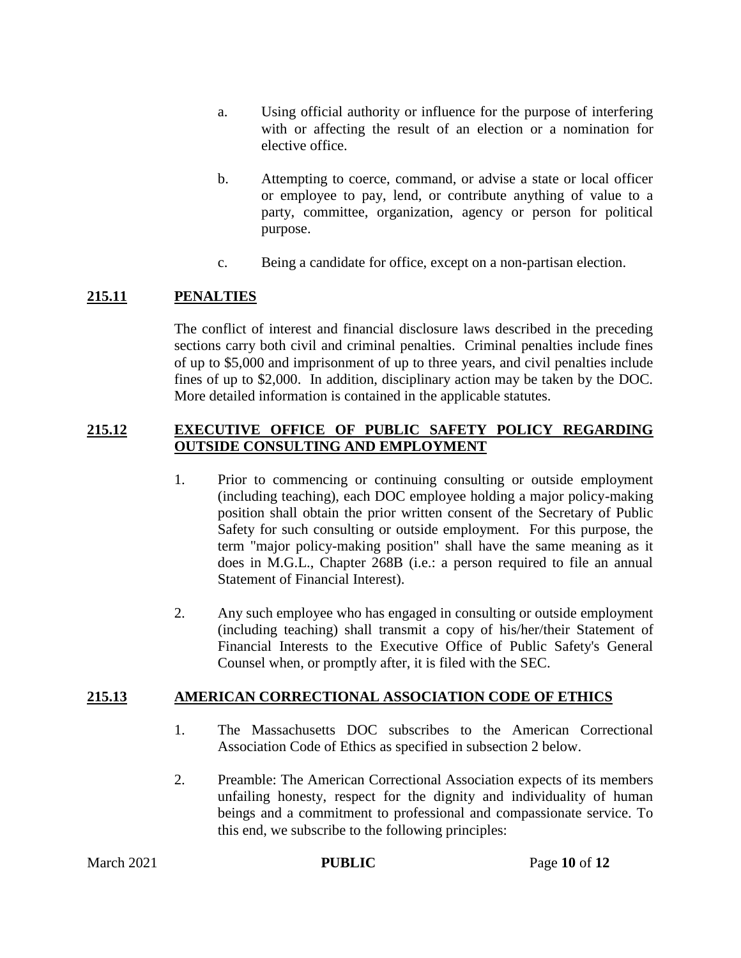- a. Using official authority or influence for the purpose of interfering with or affecting the result of an election or a nomination for elective office.
- b. Attempting to coerce, command, or advise a state or local officer or employee to pay, lend, or contribute anything of value to a party, committee, organization, agency or person for political purpose.
- c. Being a candidate for office, except on a non-partisan election.

## **215.11 PENALTIES**

The conflict of interest and financial disclosure laws described in the preceding sections carry both civil and criminal penalties. Criminal penalties include fines of up to \$5,000 and imprisonment of up to three years, and civil penalties include fines of up to \$2,000. In addition, disciplinary action may be taken by the DOC. More detailed information is contained in the applicable statutes.

### **215.12 EXECUTIVE OFFICE OF PUBLIC SAFETY POLICY REGARDING OUTSIDE CONSULTING AND EMPLOYMENT**

- 1. Prior to commencing or continuing consulting or outside employment (including teaching), each DOC employee holding a major policy-making position shall obtain the prior written consent of the Secretary of Public Safety for such consulting or outside employment. For this purpose, the term "major policy-making position" shall have the same meaning as it does in M.G.L., Chapter 268B (i.e.: a person required to file an annual Statement of Financial Interest).
- 2. Any such employee who has engaged in consulting or outside employment (including teaching) shall transmit a copy of his/her/their Statement of Financial Interests to the Executive Office of Public Safety's General Counsel when, or promptly after, it is filed with the SEC.

## **215.13 AMERICAN CORRECTIONAL ASSOCIATION CODE OF ETHICS**

- 1. The Massachusetts DOC subscribes to the American Correctional Association Code of Ethics as specified in subsection 2 below.
- 2. Preamble: The American Correctional Association expects of its members unfailing honesty, respect for the dignity and individuality of human beings and a commitment to professional and compassionate service. To this end, we subscribe to the following principles: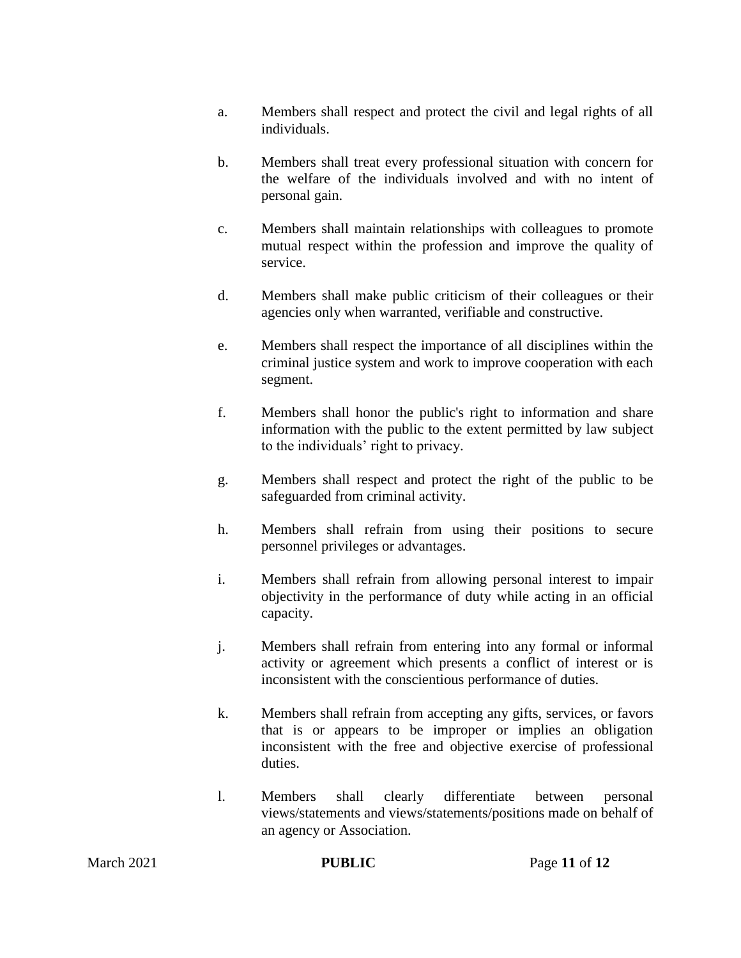- a. Members shall respect and protect the civil and legal rights of all individuals.
- b. Members shall treat every professional situation with concern for the welfare of the individuals involved and with no intent of personal gain.
- c. Members shall maintain relationships with colleagues to promote mutual respect within the profession and improve the quality of service.
- d. Members shall make public criticism of their colleagues or their agencies only when warranted, verifiable and constructive.
- e. Members shall respect the importance of all disciplines within the criminal justice system and work to improve cooperation with each segment.
- f. Members shall honor the public's right to information and share information with the public to the extent permitted by law subject to the individuals' right to privacy.
- g. Members shall respect and protect the right of the public to be safeguarded from criminal activity.
- h. Members shall refrain from using their positions to secure personnel privileges or advantages.
- i. Members shall refrain from allowing personal interest to impair objectivity in the performance of duty while acting in an official capacity.
- j. Members shall refrain from entering into any formal or informal activity or agreement which presents a conflict of interest or is inconsistent with the conscientious performance of duties.
- k. Members shall refrain from accepting any gifts, services, or favors that is or appears to be improper or implies an obligation inconsistent with the free and objective exercise of professional duties.
- l. Members shall clearly differentiate between personal views/statements and views/statements/positions made on behalf of an agency or Association.